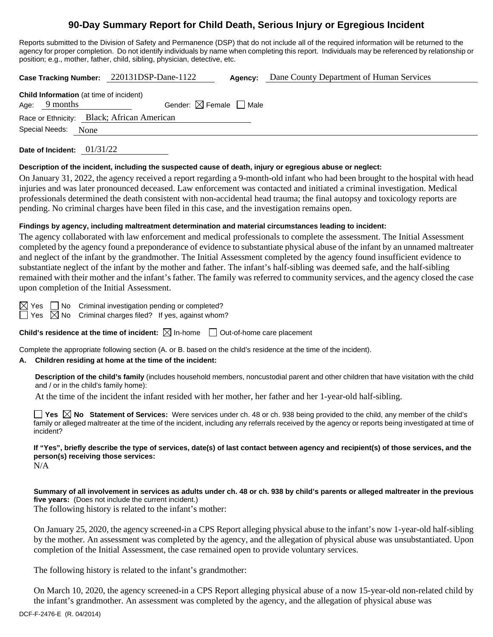# **90-Day Summary Report for Child Death, Serious Injury or Egregious Incident**

Reports submitted to the Division of Safety and Permanence (DSP) that do not include all of the required information will be returned to the agency for proper completion. Do not identify individuals by name when completing this report. Individuals may be referenced by relationship or position; e.g., mother, father, child, sibling, physician, detective, etc.

**Case Tracking Number:** 220131DSP-Dane-1122 **Agency:** Dane County Department of Human Services

|                                            |                     | <b>Child Information</b> (at time of incident) |  |  |  |
|--------------------------------------------|---------------------|------------------------------------------------|--|--|--|
|                                            | Age: $9$ months     | Gender: $\boxtimes$ Female $\Box$ Male         |  |  |  |
| Race or Ethnicity: Black; African American |                     |                                                |  |  |  |
|                                            | Special Needs: None |                                                |  |  |  |

**Date of Incident:** 01/31/22

#### **Description of the incident, including the suspected cause of death, injury or egregious abuse or neglect:**

On January 31, 2022, the agency received a report regarding a 9-month-old infant who had been brought to the hospital with head injuries and was later pronounced deceased. Law enforcement was contacted and initiated a criminal investigation. Medical professionals determined the death consistent with non-accidental head trauma; the final autopsy and toxicology reports are pending. No criminal charges have been filed in this case, and the investigation remains open.

## **Findings by agency, including maltreatment determination and material circumstances leading to incident:**

The agency collaborated with law enforcement and medical professionals to complete the assessment. The Initial Assessment completed by the agency found a preponderance of evidence to substantiate physical abuse of the infant by an unnamed maltreater and neglect of the infant by the grandmother. The Initial Assessment completed by the agency found insufficient evidence to substantiate neglect of the infant by the mother and father. The infant's half-sibling was deemed safe, and the half-sibling remained with their mother and the infant's father. The family was referred to community services, and the agency closed the case upon completion of the Initial Assessment.

 $\boxtimes$  Yes  $\Box$  No Criminal investigation pending or completed?

 $\Box$  Yes  $\boxtimes$  No Criminal charges filed? If yes, against whom?

**Child's residence at the time of incident:**  $\boxtimes$  In-home  $\Box$  Out-of-home care placement

Complete the appropriate following section (A. or B. based on the child's residence at the time of the incident).

# **A. Children residing at home at the time of the incident:**

**Description of the child's family** (includes household members, noncustodial parent and other children that have visitation with the child and / or in the child's family home):

At the time of the incident the infant resided with her mother, her father and her 1-year-old half-sibling.

**Yes No Statement of Services:** Were services under ch. 48 or ch. 938 being provided to the child, any member of the child's family or alleged maltreater at the time of the incident, including any referrals received by the agency or reports being investigated at time of incident?

**If "Yes", briefly describe the type of services, date(s) of last contact between agency and recipient(s) of those services, and the person(s) receiving those services:** N/A

**Summary of all involvement in services as adults under ch. 48 or ch. 938 by child's parents or alleged maltreater in the previous five years:** (Does not include the current incident.)

The following history is related to the infant's mother:

On January 25, 2020, the agency screened-in a CPS Report alleging physical abuse to the infant's now 1-year-old half-sibling by the mother. An assessment was completed by the agency, and the allegation of physical abuse was unsubstantiated. Upon completion of the Initial Assessment, the case remained open to provide voluntary services.

The following history is related to the infant's grandmother:

On March 10, 2020, the agency screened-in a CPS Report alleging physical abuse of a now 15-year-old non-related child by the infant's grandmother. An assessment was completed by the agency, and the allegation of physical abuse was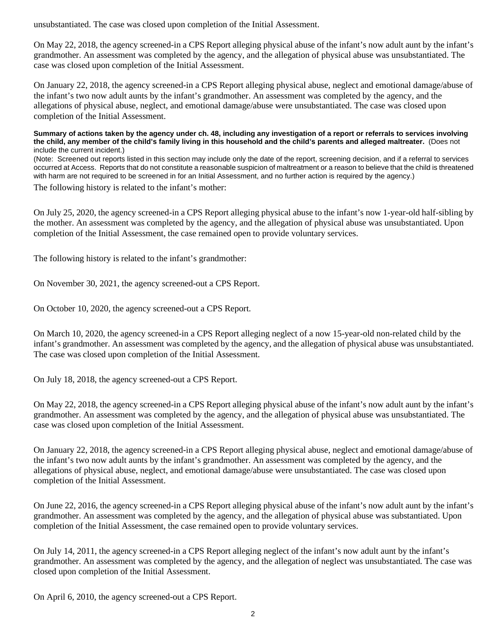unsubstantiated. The case was closed upon completion of the Initial Assessment.

On May 22, 2018, the agency screened-in a CPS Report alleging physical abuse of the infant's now adult aunt by the infant's grandmother. An assessment was completed by the agency, and the allegation of physical abuse was unsubstantiated. The case was closed upon completion of the Initial Assessment.

On January 22, 2018, the agency screened-in a CPS Report alleging physical abuse, neglect and emotional damage/abuse of the infant's two now adult aunts by the infant's grandmother. An assessment was completed by the agency, and the allegations of physical abuse, neglect, and emotional damage/abuse were unsubstantiated. The case was closed upon completion of the Initial Assessment.

**Summary of actions taken by the agency under ch. 48, including any investigation of a report or referrals to services involving the child, any member of the child's family living in this household and the child's parents and alleged maltreater.** (Does not include the current incident.)

(Note: Screened out reports listed in this section may include only the date of the report, screening decision, and if a referral to services occurred at Access. Reports that do not constitute a reasonable suspicion of maltreatment or a reason to believe that the child is threatened with harm are not required to be screened in for an Initial Assessment, and no further action is required by the agency.)

The following history is related to the infant's mother:

On July 25, 2020, the agency screened-in a CPS Report alleging physical abuse to the infant's now 1-year-old half-sibling by the mother. An assessment was completed by the agency, and the allegation of physical abuse was unsubstantiated. Upon completion of the Initial Assessment, the case remained open to provide voluntary services.

The following history is related to the infant's grandmother:

On November 30, 2021, the agency screened-out a CPS Report.

On October 10, 2020, the agency screened-out a CPS Report.

On March 10, 2020, the agency screened-in a CPS Report alleging neglect of a now 15-year-old non-related child by the infant's grandmother. An assessment was completed by the agency, and the allegation of physical abuse was unsubstantiated. The case was closed upon completion of the Initial Assessment.

On July 18, 2018, the agency screened-out a CPS Report.

On May 22, 2018, the agency screened-in a CPS Report alleging physical abuse of the infant's now adult aunt by the infant's grandmother. An assessment was completed by the agency, and the allegation of physical abuse was unsubstantiated. The case was closed upon completion of the Initial Assessment.

On January 22, 2018, the agency screened-in a CPS Report alleging physical abuse, neglect and emotional damage/abuse of the infant's two now adult aunts by the infant's grandmother. An assessment was completed by the agency, and the allegations of physical abuse, neglect, and emotional damage/abuse were unsubstantiated. The case was closed upon completion of the Initial Assessment.

On June 22, 2016, the agency screened-in a CPS Report alleging physical abuse of the infant's now adult aunt by the infant's grandmother. An assessment was completed by the agency, and the allegation of physical abuse was substantiated. Upon completion of the Initial Assessment, the case remained open to provide voluntary services.

On July 14, 2011, the agency screened-in a CPS Report alleging neglect of the infant's now adult aunt by the infant's grandmother. An assessment was completed by the agency, and the allegation of neglect was unsubstantiated. The case was closed upon completion of the Initial Assessment.

On April 6, 2010, the agency screened-out a CPS Report.